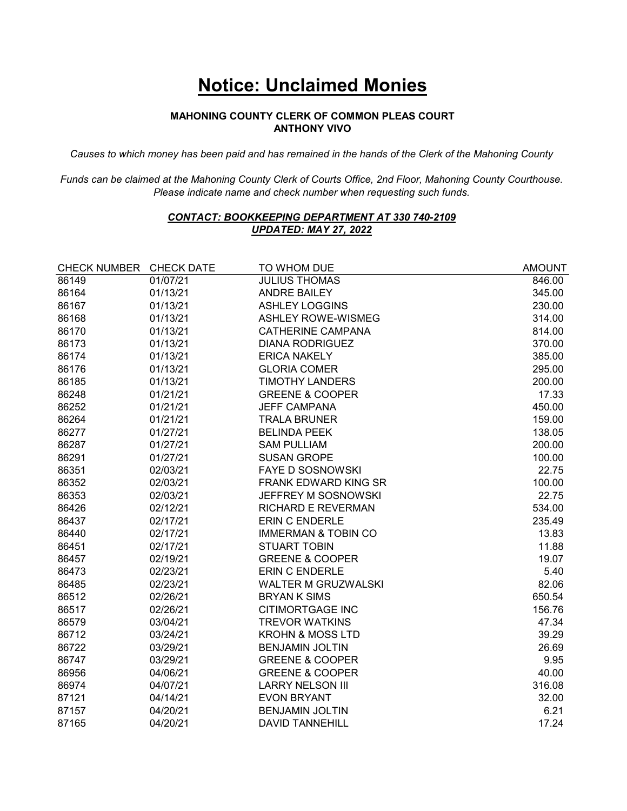## **Notice: Unclaimed Monies**

## **MAHONING COUNTY CLERK OF COMMON PLEAS COURT ANTHONY VIVO**

*Causes to which money has been paid and has remained in the hands of the Clerk of the Mahoning County* 

*Funds can be claimed at the Mahoning County Clerk of Courts Office, 2nd Floor, Mahoning County Courthouse. Please indicate name and check number when requesting such funds.* 

## *CONTACT: BOOKKEEPING DEPARTMENT AT 330 740-2109 UPDATED: MAY 27, 2022*

| CHECK NUMBER CHECK DATE |          | TO WHOM DUE                    | <b>AMOUNT</b> |
|-------------------------|----------|--------------------------------|---------------|
| 86149                   | 01/07/21 | <b>JULIUS THOMAS</b>           | 846.00        |
| 86164                   | 01/13/21 | <b>ANDRE BAILEY</b>            | 345.00        |
| 86167                   | 01/13/21 | <b>ASHLEY LOGGINS</b>          | 230.00        |
| 86168                   | 01/13/21 | <b>ASHLEY ROWE-WISMEG</b>      | 314.00        |
| 86170                   | 01/13/21 | <b>CATHERINE CAMPANA</b>       | 814.00        |
| 86173                   | 01/13/21 | <b>DIANA RODRIGUEZ</b>         | 370.00        |
| 86174                   | 01/13/21 | <b>ERICA NAKELY</b>            | 385.00        |
| 86176                   | 01/13/21 | <b>GLORIA COMER</b>            | 295.00        |
| 86185                   | 01/13/21 | <b>TIMOTHY LANDERS</b>         | 200.00        |
| 86248                   | 01/21/21 | <b>GREENE &amp; COOPER</b>     | 17.33         |
| 86252                   | 01/21/21 | <b>JEFF CAMPANA</b>            | 450.00        |
| 86264                   | 01/21/21 | <b>TRALA BRUNER</b>            | 159.00        |
| 86277                   | 01/27/21 | <b>BELINDA PEEK</b>            | 138.05        |
| 86287                   | 01/27/21 | <b>SAM PULLIAM</b>             | 200.00        |
| 86291                   | 01/27/21 | <b>SUSAN GROPE</b>             | 100.00        |
| 86351                   | 02/03/21 | <b>FAYE D SOSNOWSKI</b>        | 22.75         |
| 86352                   | 02/03/21 | <b>FRANK EDWARD KING SR</b>    | 100.00        |
| 86353                   | 02/03/21 | JEFFREY M SOSNOWSKI            | 22.75         |
| 86426                   | 02/12/21 | <b>RICHARD E REVERMAN</b>      | 534.00        |
| 86437                   | 02/17/21 | <b>ERIN C ENDERLE</b>          | 235.49        |
| 86440                   | 02/17/21 | <b>IMMERMAN &amp; TOBIN CO</b> | 13.83         |
| 86451                   | 02/17/21 | <b>STUART TOBIN</b>            | 11.88         |
| 86457                   | 02/19/21 | <b>GREENE &amp; COOPER</b>     | 19.07         |
| 86473                   | 02/23/21 | <b>ERIN C ENDERLE</b>          | 5.40          |
| 86485                   | 02/23/21 | <b>WALTER M GRUZWALSKI</b>     | 82.06         |
| 86512                   | 02/26/21 | <b>BRYAN K SIMS</b>            | 650.54        |
| 86517                   | 02/26/21 | <b>CITIMORTGAGE INC</b>        | 156.76        |
| 86579                   | 03/04/21 | <b>TREVOR WATKINS</b>          | 47.34         |
| 86712                   | 03/24/21 | <b>KROHN &amp; MOSS LTD</b>    | 39.29         |
| 86722                   | 03/29/21 | <b>BENJAMIN JOLTIN</b>         | 26.69         |
| 86747                   | 03/29/21 | <b>GREENE &amp; COOPER</b>     | 9.95          |
| 86956                   | 04/06/21 | <b>GREENE &amp; COOPER</b>     | 40.00         |
| 86974                   | 04/07/21 | <b>LARRY NELSON III</b>        | 316.08        |
| 87121                   | 04/14/21 | <b>EVON BRYANT</b>             | 32.00         |
| 87157                   | 04/20/21 | <b>BENJAMIN JOLTIN</b>         | 6.21          |
| 87165                   | 04/20/21 | <b>DAVID TANNEHILL</b>         | 17.24         |